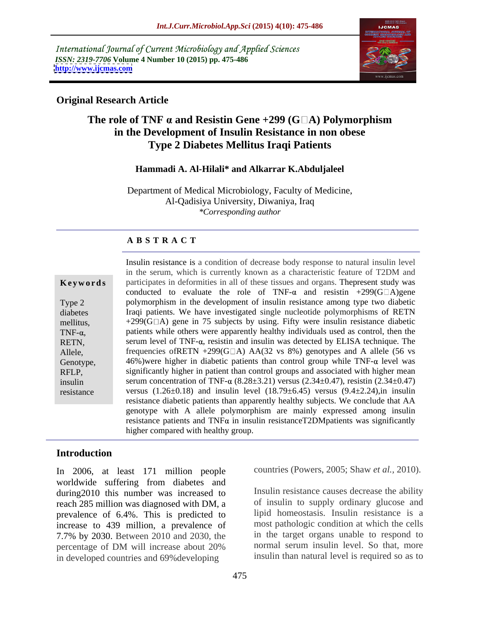International Journal of Current Microbiology and Applied Sciences *ISSN: 2319-7706* **Volume 4 Number 10 (2015) pp. 475-486 <http://www.ijcmas.com>**



### **Original Research Article**

## **The role of TNF**  $\alpha$  and Resistin Gene +299 (G $\Box$ A) Polymorphism **in the Development of Insulin Resistance in non obese Type 2 Diabetes Mellitus Iraqi Patients**

### **Hammadi A. Al-Hilali\* and Alkarrar K.Abduljaleel**

Department of Medical Microbiology, Faculty of Medicine, Al-Qadisiya University, Diwaniya, Iraq *\*Corresponding author*

### **A B S T R A C T**

| Keywords                                                                                                              |
|-----------------------------------------------------------------------------------------------------------------------|
| Type 2<br>diabetes<br>mellitus.<br>TNF- $\alpha$ ,<br>RETN,<br>Allele.<br>Genotype,<br>RFLP,<br>insulin<br>resistance |
|                                                                                                                       |

Insulin resistance is a condition of decrease body response to natural insulin level in the serum, which is currently known as a characteristic feature of T2DM and **Keywords** participates in deformities in all of these tissues and organs. The present study was conducted to evaluate the role of TNF- $\alpha$  and resistin +299(G $\Box$ A)gene Type 2 polymorphism in the development of insulin resistance among type two diabetic diabetes **In a Indiana Communist** Iraqi patients. We have investigated single nucleotide polymorphisms of RETN mellitus,  $+299(G\Box A)$  gene in 75 subjects by using. Fifty were insulin resistance diabetic TNF- $\alpha$ , patients while others were apparently healthy individuals used as control, then the RETN, serum level of TNF- $\alpha$ , resistin and insulin was detected by ELISA technique. The Allele, frequencies of RETN +299(G $\Box$ A) AA(32 vs 8%) genotypes and A allele (56 vs Genotype,  $\blacksquare$  46%) were higher in diabetic patients than control group while TNF- $\alpha$  level was RFLP, significantly higher in patient than control groups and associated with higher mean insulin serum concentration of TNF- $\alpha$  (8.28 $\pm$ 3.21) versus (2.34 $\pm$ 0.47), resistin (2.34 $\pm$ 0.47) versus  $(1.26\pm0.18)$  and insulin level  $(18.79\pm6.45)$  versus  $(9.4\pm2.24)$ , in insulin resistance diabetic patients than apparently healthy subjects. We conclude that AA genotype with A allele polymorphism are mainly expressed among insulin resistance patients and  $TNF\alpha$  in insulin resistanceT2DMpatients was significantly higher compared with healthy group.

### **Introduction**

In 2006, at least 171 million people worldwide suffering from diabetes and during2010 this number was increased to reach 285 million was diagnosed with DM, a prevalence of 6.4%. This is predicted to increase to 439 million, a prevalence of 7.7% by 2030. Between 2010 and 2030, the percentage of DM will increase about 20% in developed countries and 69%developing

countries (Powers, 2005; Shaw *et al.,* 2010).

Insulin resistance causes decrease the ability of insulin to supply ordinary glucose and lipid homeostasis. Insulin resistance is a most pathologic condition at which the cells in the target organs unable to respond to normal serum insulin level. So that, more insulin than natural level is required so as to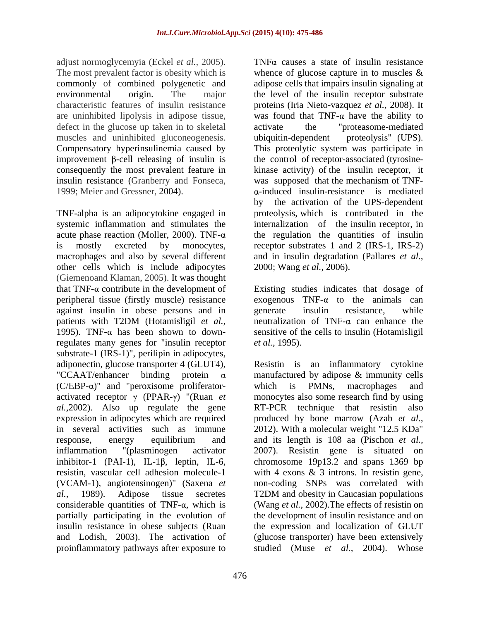adjust normoglycemyia (Eckel *et al.,* 2005). The most prevalent factor is obesity which is commonly of combined polygenetic and are uninhibited lipolysis in adipose tissue, defect in the glucose up taken in to skeletal activate the "proteasome-mediated" muscles and uninhibited gluconeogenesis. ubiquitin-dependent proteolysis" (UPS). insulin resistance (Granberry and Fonseca,

TNF-alpha is an adipocytokine engaged in macrophages and also by several different other cells which is include adipocytes (Giemenoand Klaman, 2005). It was thought that  $TNF-\alpha$  contribute in the development of Existing studies indicates that dosage of peripheral tissue (firstly muscle) resistance against insulin in obese persons and in patients with T2DM (Hotamisligil *et al.,* 1995). TNF- $\alpha$  has been shown to down-sensitive of the cells to insulin (Hotamisligil regulates many genes for "insulin receptor *et al.*, 1995). substrate-1 (IRS-1)", perilipin in adipocytes,  $(C/EBP-\alpha)$ " and "peroxisome proliferator-<br>which is PMNs, macrophages and *al.,*2002). Also up regulate the gene RT-PCR technique that resistin also expression in adipocytes which are required (VCAM-1), angiotensinogen)" (Saxena *et*  and Lodish, 2003). The activation of proinflammatory pathways after exposure to

environmental origin. The major the level of the insulin receptor substrate characteristic features of insulin resistance proteins (Iria Nieto-vazquez *etal.,* 2008). It Compensatory hyperinsulinemia caused by This proteolytic system was participate in improvement  $\beta$ -cell releasing of insulin is the control of receptor-associated (tyrosineconsequently the most prevalent feature in kinase activity) of the insulin receptor, it 1999; Meier and Gressner, 2004).  $\alpha$ -induced insulin-resistance is mediated systemic inflammation and stimulates the internalization of the insulin receptor, in acute phase reaction (Moller, 2000). TNF- $\alpha$  the regulation the quantities of insulin is mostly excreted by monocytes, receptor substrates 1 and 2 (IRS-1, IRS-2) TNF $\alpha$  causes a state of insulin resistance whence of glucose capture in to muscles & adipose cells that impairs insulin signaling at was found that  $TNF-\alpha$  have the ability to activate the "proteasome-mediated ubiquitin-dependent proteolysis" (UPS). was supposed that the mechanism of TNF by the activation of the UPS-dependent proteolysis, which is contributed in the and in insulin degradation (Pallares *et al.,* 2000; Wang *et al.,* 2006).

> exogenous  $TNF-\alpha$  to the animals can generate insulin resistance, while neutralization of TNF- $\alpha$  can enhance the *et al.,* 1995).

adiponectin, glucose transporter 4 (GLUT4), Resistin is an inflammatory cytokine "CCAAT/enhancer binding protein  $\alpha$  manufactured by adipose  $\&$  immunity cells activated receptor  $\gamma$  (PPAR- $\gamma$ ) "(Ruan *et* monocytes also some research find by using in several activities such as immune 2012). With a molecular weight "12.5 KDa" response, energy equilibrium and and its length is 108 aa (Pischon *et al.,* inflammation "(plasminogen activator 2007). Resistin gene is situated on inhibitor-1 (PAI-1), IL-1 $\beta$ , leptin, IL-6, chromosome 19p13.2 and spans 1369 bp resistin, vascular cell adhesion molecule-1 with 4 exons & 3 introns. In resistin gene, *al.,* 1989). Adipose tissue secretes T2DM and obesity in Caucasian populations considerable quantities of TNF-α, which is (Wang *et al.*, 2002). The effects of resistin on partially participating in the evolution of the development of insulin resistance and on insulin resistance in obese subjects (Ruan the expression and localization of GLUT which is PMNs, macrophages and  $RT-PCR$  technique that resistin produced by bone marrow (Azab *et al.,* non-coding SNPs was correlated with (glucose transporter) have been extensively studied (Muse *et al.,* 2004). Whose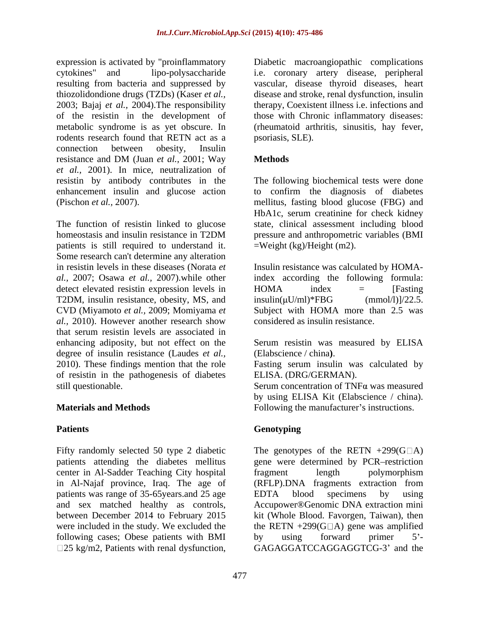expression is activated by "proinflammatory biabetic macroangiopathic complications cytokines" and lipo-polysaccharide i.e. coronary artery disease, peripheral resulting from bacteria and suppressed by vascular, disease thyroid diseases, heart thiozolidondione drugs (TZDs) (Kaser *et al.,* disease and stroke, renal dysfunction, insulin 2003; Bajaj *et al.,* 2004).The responsibility therapy, Coexistent illness i.e. infections and of the resistin in the development of those with Chronic inflammatory diseases: metabolic syndrome is as yet obscure. In (rheumatoid arthritis, sinusitis, hay fever, rodents research found that RETN act as a connection between obesity, Insulin resistance and DM (Juan *et al.,* 2001; Way *et al.,* 2001). In mice, neutralization of resistin by antibody contributes in the The following biochemical tests were done enhancement insulin and glucose action to confirm the diagnosis of diabetes (Pischon *et al.,* 2007). mellitus, fasting blood glucose (FBG) and

The function of resistin linked to glucose state, clinical assessment including blood homeostasis and insulin resistance in T2DM pressure and anthropometric variables (BMI patients is still required to understand it. Some research can't determine any alteration detect elevated resistin expression levels in HOMA index = [Fasting T2DM, insulin resistance, obesity, MS, and  $insulin(uU/ml)*FBG$  (mmol/1) $1/22.5$ . *al.,* 2010). However another research show that serum resistin levels are associated in enhancing adiposity, but not effect on the Serum resistin was measured by ELISA degree of insulin resistance (Laudes *et al.,*2010). These findings mention that the role Fasting serum insulin was calculated by of resistin in the pathogenesis of diabetes still questionable. Serum concentration of TNFa was measured presents is starting through the complications with the macroscopic complications with the search and suppressed by vacculations from the search and the search and the search and the search and the search and the search a

Fifty randomly selected 50 type 2 diabetic The genotypes of the RETN  $+299(G\Box A)$ patients attending the diabetes mellitus gene were determined by PCR-restriction center in Al-Sadder Teaching City hospital in Al-Najaf province, Iraq. The age of patients was range of 35-65 years.and 25 age EDTA blood specimens by using and sex matched healthy as controls, Accupower®Genomic DNA extraction mini between December 2014 to February 2015 kit (Whole Blood. Favorgen, Taiwan), then were included in the study. We excluded the  $\qquad$  the RETN +299(G $\Box$ A) gene was amplified following cases; Obese patients with BMI by using forward primer 5'-

psoriasis, SLE).

### **Methods**

HbA1c, serum creatinine for check kidney pressure and anthropometric variables (BMI =Weight (kg)/Height (m2).

in resistin levels in these diseases (Norata *et*  Insulin resistance was calculated by HOMA*al.,* 2007; Osawa *et al.,* 2007).while other index according the following formula: CVD (Miyamoto *et al.,* 2009; Momiyama *et*  Subject with HOMA more than 2.5 was  $HOMA$  index  $=$  [Fasting  $insulin(\mu U/ml)*FBG$  (mmol/l)]/22.5. considered as insulin resistance.

(Elabscience / china**)**.

ELISA. (DRG/GERMAN).

**Materials and Methods** Following the manufacturer's instructions. by using ELISA Kit (Elabscience / china).

### Patients **Patients Patients Patients Patients Patients Patients Patients Patients Patients Patients Patients Patients Patients Patients Patients Patients Patients Patients Patients Pat Genotyping**

fragment length polymorphism (RFLP).DNA fragments extraction from EDTA blood specimens by using by using forward primer 5<sup>2</sup>-GAGAGGATCCAGGAGGTCG-3' and the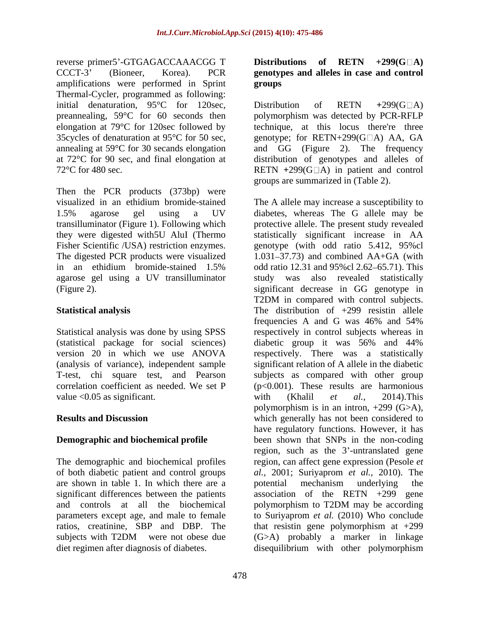reverse primer5'-GTGAGACCAAACGG T Distributions of RETN +299(G□A) CCCT-3 (Bioneer, Korea). PCR **genotypes and alleles in case and control** amplifications were performed in Sprint Thermal-Cycler, programmed as following: initial denaturation, 95°C for 120sec, Distribution of RETN +299(G $\Box$ A) preannealing, 59°C for 60 seconds then

Then the PCR products (373bp) were agarose gel using a UV transilluminator

(statistical package for social sciences) (analysis of variance), independent sample value <0.05 as significant. with (Khalil *et al.*, 2014). This

are shown in table 1. In which there are a significant differences between the patients and controls at all the biochemical polymorphism to T2DM may be according ratios, creatinine, SBP and DBP. The that resistin gene polymorphism at  $+299$  subjects with T2DM were not obese due  $(G>A)$  probably a marker in linkage diet regimen after diagnosis of diabetes. disequilibrium with other polymorphism

# **Distributions of RETN +299(G A) groups**

elongation at 79°C for 120sec followed by technique, at this locus there're three 35cycles of denaturation at 95 $^{\circ}$ C for 50 sec, genotype; for RETN+299(G $\Box$ A) AA, GA annealing at 59°C for 30 secands elongation and GG (Figure 2). The frequency at 72°C for 90 sec, and final elongation at distribution of genotypes and alleles of 72<sup>o</sup>C for 480 sec. RETN +299(G□A) in patient and control Distribution of RETN +299(G $\Box$ A) polymorphism was detected by PCR-RFLP groups are summarized in (Table 2).

visualized in an ethidium bromide-stained The A allele may increase a susceptibility to 1.5% agarose gel using a UV diabetes, whereas The G allele may be transilluminator (Figure 1). Following which protective allele. The present study revealed they were digested with5U AluI (Thermo statistically significant increase in AA Fisher Scientific /USA) restriction enzymes. genotype (with odd ratio 5.412, 95%cl The digested PCR products were visualized 1.031–37.73) and combined AA+GA (with in an ethidium bromide-stained 1.5% odd ratio 12.31 and 95%cl 2.62 65.71). This (Figure 2). significant decrease in GG genotype in **Statistical analysis** The distribution of +299 resistin allele Statistical analysis was done by using SPSS respectively in control subjects whereas in version 20 in which we use ANOVA respectively. There was a statistically T-test, chi square test, and Pearson subjects as compared with other group correlation coefficient as needed. We set P  $(p<0.001)$ . These results are harmonious **Results and Discussion which generally has not been considered to Demographic and biochemical profile** been shown that SNPs in the non-coding The demographic and biochemical profiles region, can affect gene expression (Pesole *et*  of both diabetic patient and control groups *al.,* 2001; Suriyaprom *et al.,* 2010). The parameters except age, and male to female to Suriyaprom *et al.* (2010) Who conclude subjects with T2DM were not obese due (G>A) probably a marker in linkage study was also revealed statistically T2DM in compared with control subjects. frequencies A and G was 46% and 54% diabetic group it was 56% and 44% significant relation of A allele in the diabetic with (Khalil *et al.,* 2014).This polymorphism is in an intron,  $+299$  (G $>$ A), have regulatory functions. However, it has region, such as the 3'-untranslated gene potential mechanism underlying the association of the RETN  $+299$  gene polymorphism to T2DM may be according that resistin gene polymorphism at +299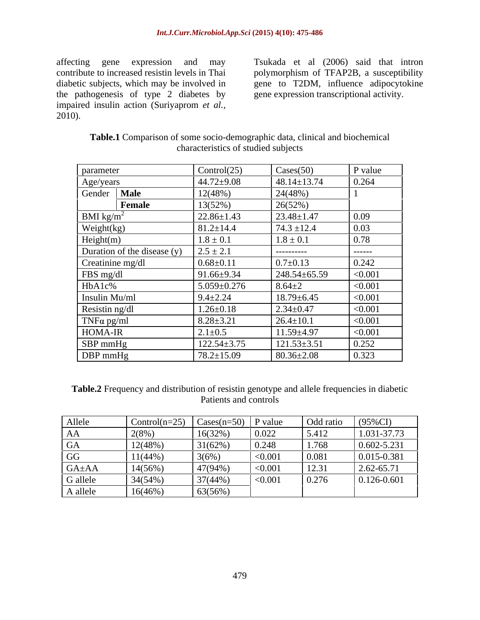the pathogenesis of type 2 diabetes by impaired insulin action (Suriyaprom *et al.,* 2010).

affecting gene expression and may Tsukada et al (2006) said that intron contribute to increased resistin levels in Thai polymorphism of TFAP2B, a susceptibility diabetic subjects, which may be involved in gene to T2DM, influence adipocytokine gene expression transcriptional activity.

| parameter                   | Control $(25)$    | $\text{Cases}(50)$ | P value            |
|-----------------------------|-------------------|--------------------|--------------------|
|                             | $44.72 \pm 9.08$  | $48.14 \pm 13.74$  | 0.264              |
| Age/years<br>Gender Male    | 12(48%)           | 24(48%)            |                    |
| <b>Female</b>               | 13(52%)           | 26(52%)            |                    |
| BMI kg/m <sup>2</sup>       | $22.86 \pm 1.43$  | $23.48 \pm 1.47$   | 0.09               |
| Weight(kg)                  | $81.2 \pm 14.4$   | $74.3 \pm 12.4$    | $\vert 0.03 \vert$ |
| Height(m)                   | $1.8 \pm 0.1$     | $1.8 \pm 0.1$      | $\vert 0.78 \vert$ |
| Duration of the disease (y) | $2.5 \pm 2.1$     | ----------         | -------            |
| Creatinine mg/dl            | $0.68 \pm 0.11$   | $0.7 \pm 0.13$     | 0.242              |
| FBS mg/dl                   | $91.66 \pm 9.34$  | $248.54 \pm 65.59$ | < 0.001            |
| HbA1c%                      | $5.059 \pm 0.276$ | $8.64 \pm 2$       | < 0.001            |
| Insulin Mu/ml               | $9.4 \pm 2.24$    | $18.79 \pm 6.45$   | < 0.001            |
| Resistin ng/dl              | $1.26 \pm 0.18$   | $2.34 \pm 0.47$    | < 0.001            |
| $TNF\alpha$ pg/ml           | $8.28 \pm 3.21$   | $26.4 \pm 10.1$    | < 0.001            |
| HOMA-IR                     | $2.1 \pm 0.5$     | $11.59 \pm 4.97$   | < 0.001            |
| SBP mmHg                    | $122.54 \pm 3.75$ | $121.53 \pm 3.51$  | 0.252              |
| DBP mmHg                    | $78.2 \pm 15.09$  | $80.36 \pm 2.08$   | 0.323              |

**Table.1** Comparison of some socio-demographic data, clinical and biochemical characteristics of studied subjects

Table.2 Frequency and distribution of resistin genotype and allele frequencies in diabetic Patients and controls

| Allele      | $Control(n=25)$ | $\vert$ Cases(n=50) $\vert$ P value |         | Odd ratio | $(95\%CI)$      |
|-------------|-----------------|-------------------------------------|---------|-----------|-----------------|
| AA          | $2(8\%)$        | 16(32%)                             | 0.022   | 5.412     | 1.031-37.73     |
| UA          | 12(48%)         | $31(62\%)$                          | 0.248   | 1.768     | 0.602-5.231     |
| GG          | $11(44\%)$      | 3(6%                                | < 0.001 | 0.081     | 0.015-0.381     |
| $GA \pm AA$ | 14(56%)         | 47(94%)                             | < 0.001 | 12.31     | $2.62 - 65.71$  |
| G allele    | 34(54%)         | 37(44%)                             | < 0.001 | 0.276     | $0.126 - 0.601$ |
| A allele    | 16(46%          | 63(56%)                             |         |           |                 |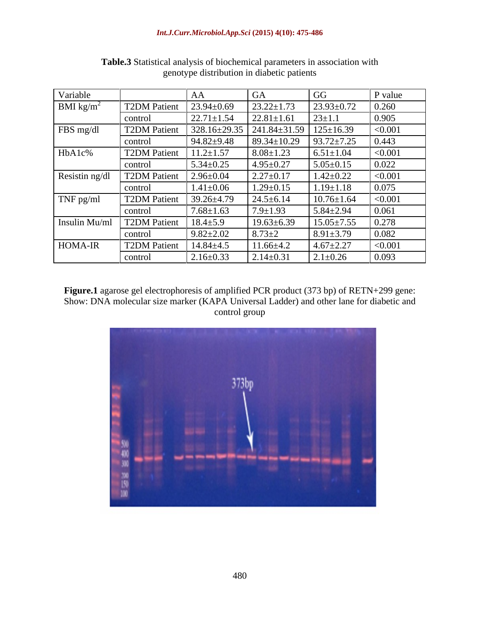| Variable              |                     |                  |                    | GG               | P value |
|-----------------------|---------------------|------------------|--------------------|------------------|---------|
| BMI kg/m <sup>2</sup> | <b>T2DM Patient</b> | $23.94 \pm 0.69$ | $23.22 \pm 1.73$   | $23.93 \pm 0.72$ | 0.260   |
|                       | control             | $22.71 \pm 1.54$ | $22.81 \pm 1.61$   | $23 \pm 1.1$     | 0.905   |
| FBS mg/dl             | <b>T2DM</b> Patient | 328.16±29.35     | $241.84 \pm 31.59$ | $125 \pm 16.39$  | < 0.001 |
|                       | control             | $94.82 \pm 9.48$ | $89.34 \pm 10.29$  | $93.72 \pm 7.25$ | 0.443   |
| HbA1c%                | <b>T2DM</b> Patient | $11.2 \pm 1.57$  | $8.08 \pm 1.23$    | $6.51 \pm 1.04$  | < 0.001 |
|                       | control             | $5.34 \pm 0.25$  | $4.95 \pm 0.27$    | $5.05 \pm 0.15$  | 0.022   |
| Resistin ng/dl        | <b>T2DM Patient</b> | $2.96 \pm 0.04$  | $2.27 \pm 0.17$    | $1.42 \pm 0.22$  | < 0.001 |
|                       | control             | $1.41 \pm 0.06$  | $1.29 \pm 0.15$    | $1.19 \pm 1.18$  | 0.075   |
| TNF pg/ml             | <b>T2DM Patient</b> | 39.26±4.79       | $24.5 \pm 6.14$    | $10.76 \pm 1.64$ | < 0.001 |
|                       | control             | $7.68 \pm 1.63$  | 1.9±1.93           | $5.84 \pm 2.94$  | 0.061   |
| Insulin Mu/ml         | <b>T2DM Patient</b> | $18.4 \pm 5.9$   | $19.63 \pm 6.39$   | $15.05 \pm 7.55$ | 0.278   |
|                       | control             | $9.82 \pm 2.02$  | $8.73 \pm 2$       | $8.91 \pm 3.79$  | 0.082   |
| HOMA-IR               | <b>T2DM Patient</b> | $14.84 \pm 4.5$  | $11.66 \pm 4.2$    | $4.67 \pm 2.27$  | < 0.001 |
|                       | control             | $2.16 \pm 0.33$  | $2.14 \pm 0.31$    | $2.1 \pm 0.26$   | 0.093   |

**Table.3** Statistical analysis of biochemical parameters in association with genotype distribution in diabetic patients

**Figure.1** agarose gel electrophoresis of amplified PCR product (373 bp) of RETN+299 gene: Show: DNA molecular size marker (KAPA Universal Ladder) and other lane for diabetic and control group

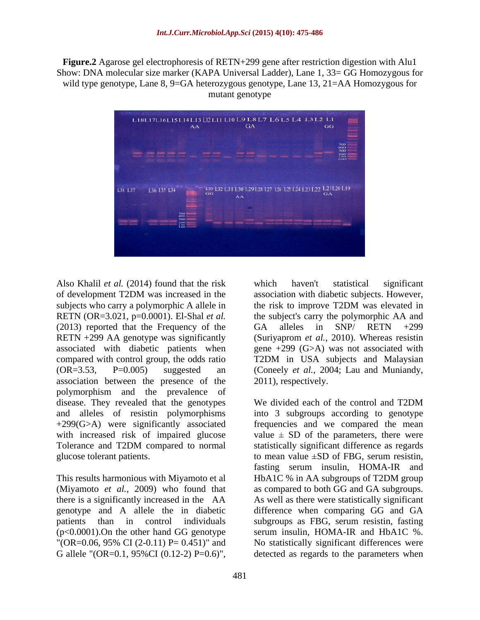**Figure.2** Agarose gel electrophoresis of RETN+299 gene after restriction digestion with Alu1 Show: DNA molecular size marker (KAPA Universal Ladder), Lane 1, 33= GG Homozygous for wild type genotype, Lane 8, 9=GA heterozygous genotype, Lane 13, 21=AA Homozygous for mutant genotype



of development T2DM was increased in the subjects who carry a polymorphic A allele in the risk to improve T2DM was elevated in RETN (OR=3.021, p=0.0001). El-Shal *et al.* (2013) reported that the Frequency of the GA alleles in SNP/ RETN  $+299$ RETN +299 AA genotype was significantly associated with diabetic patients when gene +299 (G>A) was not associated with compared with control group, the odds ratio T2DM in USA subjects and Malaysian (OR=3.53, P=0.005) suggested an (Coneely *et al.,* 2004; Lau and Muniandy, association between the presence of the polymorphism and the prevalence of disease. They revealed that the genotypes We divided each of the control and T2DM Also Khalil et al. (2014) found that the risk which haven't statistical significant<br>
dideter allele in the risk to improve T2DM was elevated in<br>
subjects who carry a polymorphic A allele in the sixk to improve T2DM was el

Also Khalil *et al.* (2014) found that the risk which haven't statistical significant association with diabetic subjects. However, the risk to improve T2DM was elevated in the subject's carry the polymorphic AA and GA alleles in SNP/ RETN +299 (Suriyaprom *et al.,* 2010). Whereas resistin T2DM in USA subjects and Malaysian 2011), respectively.

and alleles of resistin polymorphisms into 3 subgroups according to genotype +299(G>A) were significantly associated frequencies and we compared the mean with increased risk of impaired glucose value  $\pm$  SD of the parameters, there were Tolerance and T2DM compared to normal statistically significant difference as regards glucose tolerant patients. The state of the mean value  $\pm SD$  of FBG, serum resistin, This results harmonious with Miyamoto et al HbA1C % in AA subgroups of T2DM group (Miyamoto *et al.,* 2009) who found that as compared to both GG and GA subgroups. there is a significantly increased in the AA As well as there were statistically significant genotype and A allele the in diabetic difference when comparing GG and GA patients than in control individuals subgroups as FBG, serum resistin, fasting (p<0.0001).On the other hand GG genotype serum insulin, HOMA-IR and HbA1C %.  $\text{"OR=0.06, 95\% CI (2-0.11) P = 0.451}"$  and No statistically significant differences were We divided each of the control and T2DM fasting serum insulin, HOMA-IR and detected as regards to the parameters when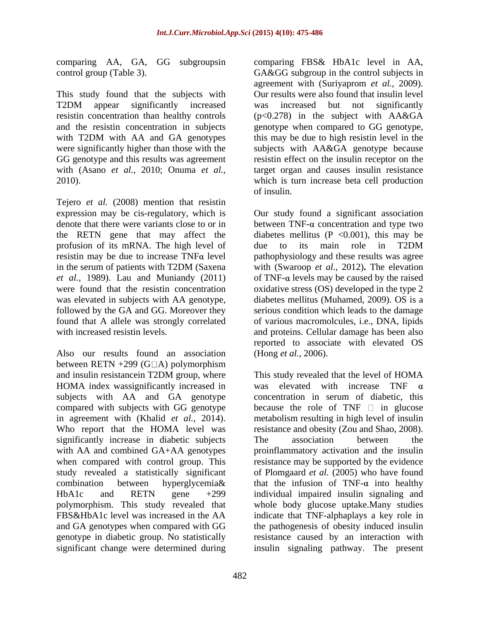comparing AA, GA, GG subgroupsin

Tejero *et al.* (2008) mention that resistin expression may be cis-regulatory, which is profusion of its mRNA. The high level of due to its main role in T2DM was elevated in subjects with AA genotype,

Also our results found an association between RETN  $+299$  (G $\Box$ A) polymorphism HOMA index was ignificantly increased in was<br>subjects with AA and GA genotype concerned compared with subjects with GG genotype Who report that the HOMA level was significantly increase in diabetic subjects The association between the significant change were determined during insulin signaling pathway. The present

control group (Table 3). GA&GG subgroup in the control subjects in This study found that the subjects with Our results were also found that insulin level T2DM appear significantly increased was increased but not significantly resistin concentration than healthy controls (p<0.278) in the subject with AA&GA and the resistin concentration in subjects genotype when compared to GG genotype, with T2DM with AA and GA genotypes this may be due to high resistin level in the were significantly higher than those with the subjects with AA&GA genotype because GG genotype and this results was agreement resistin effect on the insulin receptor on the with (Asano *et al.,* 2010; Onuma *et al.,* target organ and causes insulin resistance 2010). which is turn increase beta cell production comparing FBS& HbA1c level in AA, agreement with (Suriyaprom *et al.,* 2009). was increased but not significantly of insulin.

denote that there were variants close to or in between  $TNF-\alpha$  concentration and type two the RETN gene that may affect the diabetes mellitus  $(P \le 0.001)$ , this may be resistin may be due to increase  $TNF\alpha$  level pathophysiology and these results was agree in the serum of patients with T2DM (Saxena with (Swaroop et al., 2012). The elevation *et al.,* 1989). Lau and Muniandy (2011) of TNF- $\alpha$  levels may be caused by the raised were found that the resistin concentration oxidative stress (OS) developed in the type 2 followed by the GA and GG. Moreover they serious condition which leads to the damage found that A allele was strongly correlated of various macromolcules, i.e., DNA, lipids with increased resistin levels. and proteins. Cellular damage has been also Our study found a significant association due to its main role in T2DM with (Swaroop *et al.,* 2012)**.** The elevation diabetes mellitus (Muhamed, 2009). OS is a reported to associate with elevated OS (Hong *et al.,* 2006).

and insulin resistancein T2DM group, where This study revealed that the level of HOMA subjects with AA and GA genotype concentration in serum of diabetic, this in agreement with (Khalid *et al.,* 2014). metabolism resulting in high level of insulin with AA and combined GA+AA genotypes proinflammatory activation and the insulin when compared with control group. This resistance may be supported by the evidence study revealed a statistically significant of Plomgaard *et al.* (2005) who have found combination between hyperglycemia that the infusion of TNF- $\alpha$  into healthy HbA1c and RETN gene +299 individual impaired insulin signaling and polymorphism. This study revealed that whole body glucose uptake.Many studies FBS&HbA1c level was increased in the AA indicate that TNF-alphaplays a key role in and GA genotypes when compared with GG the pathogenesis of obesity induced insulin genotype in diabetic group. No statistically resistance caused by an interaction with This study revealed that the level of HOMA elevated with increase TNF  $\alpha$ because the role of TNF  $\Box$  in glucose resistance and obesity (Zou and Shao, 2008). The association between the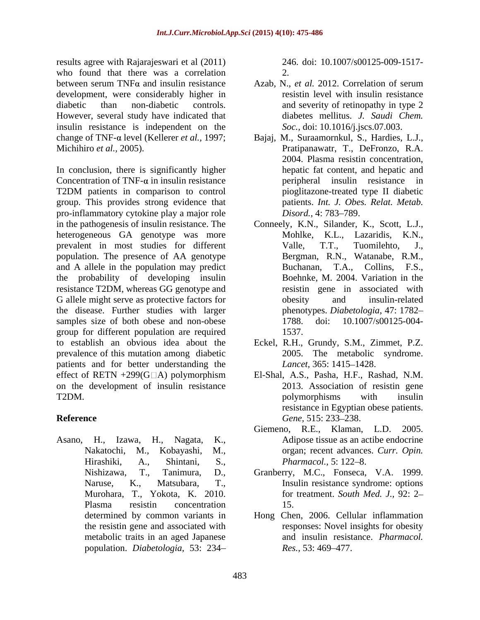results agree with Rajarajeswari et al (2011) who found that there was a correlation 2. between serum TNF $\alpha$  and insulin resistance Azab, N., et al. 2012. Correlation of serum development, were considerably higher in diabetic than non-diabetic controls. and severity of retinopathy in type 2 However, several study have indicated that insulin resistance is independent on the

In conclusion, there is significantly higher Concentration of TNF- $\alpha$  in insulin resistance T2DM patients in comparison to control pioglitazone-treated type II diabetic group. This provides strong evidence that pro-inflammatory cytokine play a major role Disord., 4: 783–789. in the pathogenesis of insulin resistance. The Conneely, K.N., Silander, K., Scott, L.J., heterogeneous GA genotype was more Mohlke, K.L., Lazaridis, K.N., prevalent in most studies for different Valle, T.T., Tuomilehto, J., population. The presence of AA genotype and A allele in the population may predict Buchanan, T.A., Collins, F.S., the probability of developing insulin resistance T2DM, whereas GG genotype and G allele might serve as protective factors for besity and insulin-related the disease. Further studies with larger samples size of both obese and non-obese group for different population are required to establish an obvious idea about the Eckel, R.H., Grundy, S.M., Zimmet, P.Z. prevalence of this mutation among diabetic patients and for better understanding the *Lancet*, 365: 1415–1428. effect of RETN +299(G□A) polymorphism El-Shal, A.S., Pasha, H.F., Rashad, N.M. on the development of insulin resistance T2DM.

Asano, H., Izawa, H., Nagata, K., Adipose tissue as an actibe endocrine Hirashiki, A., Shintani, S., *Pharmacol.*, 5: 122–8. Plasma resistin concentration 15. population. *Diabetologia,* 53: 234

246. doi: 10.1007/s00125-009-1517- 2.

- Azab, N., *et al.* 2012. Correlation of serum resistin level with insulin resistance diabetes mellitus. *J. Saudi Chem. Soc.,* doi: 10.1016/j.jscs.07.003.
- change of TNF-α level (Kellerer *et al.*, 1997; Bajaj, M., Suraamornkul, S., Hardies, L.J., Michihiro *et al.,* 2005). Pratipanawatr, T., DeFronzo, R.A. 2004. Plasma resistin concentration, hepatic fat content, and hepatic and peripheral insulin resistance in pioglitazone-treated type II diabetic patients. *Int. J. Obes. Relat. Metab. Disord.,* 4: 783–789.
	- Mohlke, K.L., Lazaridis, Valle, T.T., Tuomilehto, J., Bergman, R.N., Watanabe, R.M., Buchanan, T.A., Boehnke, M. 2004. Variation in the resistin gene in associated with obesity and insulin-related phenotypes. *Diabetologia,* 47: 1782 1788. doi: 10.1007/s00125-004- 1537.
	- 2005. The metabolic syndrome. *Lancet,* 365: 1415–1428.
- **Reference** Gene, 515: 233–238. 2013. Association of resistin gene polymorphisms with insulin resistance in Egyptian obese patients. Gene, 515: 233–238.
	- Nakatochi, M., Kobayashi, M., organ; recent advances. *Curr. Opin.* Giemeno, R.E., Klaman, L.D. 2005. *Pharmacol.,* 5: 122–8.
	- Nishizawa, T., Tanimura, D., Granberry, M.C., Fonseca, V.A. 1999. Naruse, K., Matsubara, T., Insulin resistance syndrome: options Murohara, T., Yokota, K. 2010. for treatment. *South Med. J.,* 92: 2 15.
	- determined by common variants in Hong Chen, 2006. Cellular inflammation the resistin gene and associated with responses: Novel insights for obesity metabolic traits in an aged Japanese and insulin resistance. *Pharmacol. Res.*, 53: 469–477.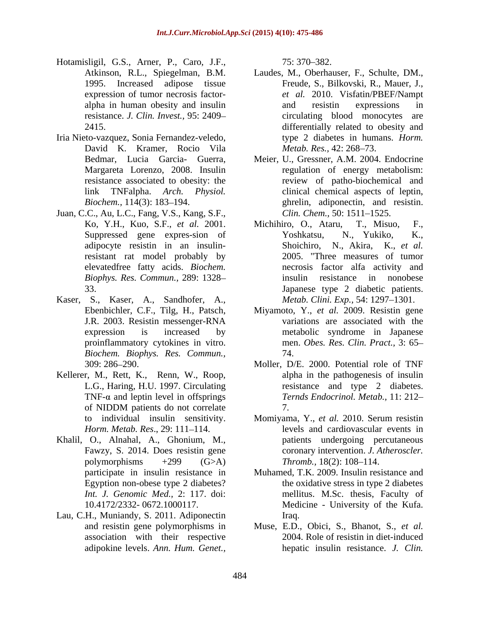- Hotamisligil, G.S., Arner, P., Caro, J.F.,
- Iria Nieto-vazquez, Sonia Fernandez-veledo, David K. Kramer, Rocio Vila *Metab, Res., 42: 268–73.*
- Juan, C.C., Au, L.C., Fang, V.S., Kang, S.F., adipocyte resistin in an insulinresistant rat model probably by *Biophys. Res. Commun.,* 289: 1328
- Kaser, S., Kaser, A., Sandhofer, A., *Biochem. Biophys. Res. Commun.,*
- Kellerer, M., Rett, K., Renn, W., Roop, TNF- $\alpha$  and leptin level in offsprings
- Khalil, O., Alnahal, A., Ghonium, M.,
- Lau, C.H., Muniandy, S. 2011. Adiponectin association with their respective

75: 370 382.

- Atkinson, R.L., Spiegelman, B.M. Laudes, M., Oberhauser, F., Schulte, DM., 1995. Increased adipose tissue Freude, S., Bilkovski, R., Mauer, J., expression of tumor necrosis factor- *et al.* 2010. Visfatin/PBEF/Nampt alpha in human obesity and insulin resistance. *J. Clin. Invest.,* 95: 2409 2415. differentially related to obesity and and resistin expressions in circulating blood monocytes type 2 diabetes in humans. *Horm. Metab. Res.,* 42: 268–73.
- Bedmar, Lucia Garcia- Guerra, Meier, U., Gressner, A.M. 2004. Endocrine Margareta Lorenzo, 2008. Insulin regulation of energy metabolism: resistance associated to obesity: the review of patho-biochemical and link TNFalpha. *Arch. Physiol.* clinical chemical aspects of leptin, Biochem., 114(3): 183–194. **ghrelin**, adiponectin, and resistin. *Clin. Chem.,* 50: 1511–1525.
- Ko, Y.H., Kuo, S.F., *et al.* 2001. Suppressed gene expres-sion of Yoshkatsu, N., Yukiko, K., elevatedfree fatty acids. *Biochem.*  necrosis factor alfa activity and 33. Japanese type 2 diabetic patients. Michihiro, O., Ataru, Yoshkatsu, N., Yukiko, K., Shoichiro, N., Akira, K., *et al.* 2005. "Three measures of tumor resistance in nonobese *Metab. Clini. Exp., 54: 1297-1301.*
- Ebenbichler, C.F., Tilg, H., Patsch, Miyamoto, Y., *et al.* 2009. Resistin gene J.R. 2003. Resistin messenger-RNA variations are associated with the expression is increased by metabolic syndrome in Japanese proinflammatory cytokines in vitro. men. *Obes. Res. Clin. Pract.,* 3: 65 74.
- 309: 286 290. Moller, D/E. 2000. Potential role of TNF L.G., Haring, H.U. 1997. Circulating existance and type 2 diabetes. of NIDDM patients do not correlate alpha in the pathogenesis of insulin *Ternds Endocrinol. Metab.,* 11: 212 7.
- to individual insulin sensitivity. Momiyama, Y., *et al.* 2010. Serum resistin *Horm. Metab. Res.*, 29: 111–114. levels and cardiovascular events in Fawzy, S. 2014. Does resistin gene coronary intervention. *J. Atheroscler.*  polymorphisms  $+299$   $(G>A)$  *Thromb.*, 18(2): 108–114. patients undergoing percutaneous *Thromb.,* 18(2): 108–114.
- participate in insulin resistance in Muhamed, T.K. 2009. Insulin resistance and Egyption non-obese type 2 diabetes? the oxidative stress in type 2 diabetes *Int. J. Genomic Med.,* 2: 117. doi: mellitus. M.Sc. thesis, Faculty of 10.4172/2332- 0672.1000117. Medicine - University of the Kufa. Iraq.
- and resistin gene polymorphisms in Muse, E.D., Obici, S., Bhanot, S., *et al.* adipokine levels. *Ann. Hum. Genet.,* hepatic insulin resistance. *J. Clin.*2004. Role of resistin in diet-induced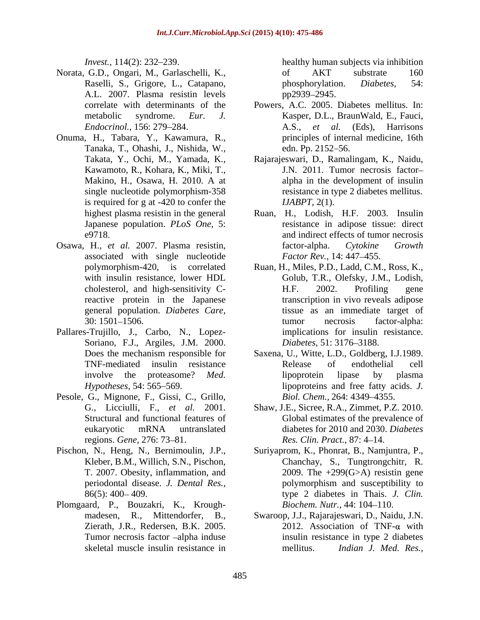- Norata, G.D., Ongari, M., Garlaschelli, K., Raselli, S., Grigore, L., Catapano, phosphorylation. Diabetes, 54: A.L. 2007. Plasma resistin levels
- Onuma, H., Tabara, Y., Kawamura, R., Tanaka, T., Ohashi, J., Nishida, W., single nucleotide polymorphism-358 is required for g at -420 to confer the
- Osawa, H., *et al.* 2007. Plasma resistin, associated with single nucleotide
- Pallares-Trujillo, J., Carbo, N., Lopez- Soriano, F.J., Argiles, J.M. 2000. *Diabetes*, 51: 3176–3188.
- Pesole, G., Mignone, F., Gissi, C., Grillo,
- Pischon, N., Heng, N., Bernimoulin, J.P.,
- Plomgaard, P., Bouzakri, K., Krough-

*Invest.*, 114(2): 232–239. healthy human subjects via inhibition of AKT substrate 160 phosphorylation. *Diabetes,* 54: pp2939–2945.

- correlate with determinants of the Powers, A.C. 2005. Diabetes mellitus. In: metabolic syndrome. *Eur. J.* Kasper, D.L., BraunWald, E., Fauci, *Endocrinol.,* 156: 279 284. A.S., *et al.* (Eds), Harrisons principles of internal medicine, 16th edn. Pp. 2152–56.
- Takata, Y., Ochi, M., Yamada, K., Rajarajeswari, D., Ramalingam, K., Naidu, Kawamoto, R., Kohara, K., Miki, T., J.N. 2011. Tumor necrosis factor-Makino, H., Osawa, H. 2010. A at alpha in the development of insulin resistance in type 2 diabetes mellitus. *IJABPT,* 2(1).
- highest plasma resistin in the general Ruan, H., Lodish, H.F. 2003. Insulin Japanese population. *PLoS One,* 5: resistance in adipose tissue: direct e9718 and indirect effects of tumor necrosis factor-alpha. *Cytokine Growth Factor Rev.,* 14: 447–455.
- polymorphism-420, is correlated Ruan, H., Miles, P.D., Ladd, C.M., Ross, K., with insulin resistance, lower HDL Golub, T.R., Olefsky, J.M., Lodish, cholesterol, and high-sensitivity Creactive protein in the Japanese transcription in vivo reveals adipose general population. *Diabetes Care,* tissue as an immediate target of 30: 1501 1506. H.F. 2002. Profiling gene tumor necrosis factor-alpha: implications for insulin resistance. *Diabetes,* 51: 3176–3188.
- Does the mechanism responsible for Saxena, U., Witte, L.D., Goldberg, I.J.1989. TNF-mediated insulin resistance involve the proteasome? *Med. Hypotheses,* 54: 565–569. **I** ipoproteins and free fatty acids. *J.* Release of endothelial cell lipoprotein lipase by plasma *Biol. Chem.,* 264: 4349 4355.
- G., Licciulli, F., *et al.* 2001. Shaw, J.E., Sicree, R.A., Zimmet, P.Z. 2010. Structural and functional features of Global estimates of the prevalence of eukaryotic mRNA untranslated diabetes for 2010 and 2030. Diabetes regions. *Gene*, 276: 73–81. *Res. Clin. Pract.*, 87: 4–14. diabetes for 2010 and 2030. *Diabetes Res. Clin. Pract., 87: 4–14.*
- Kleber, B.M., Willich, S.N., Pischon, Chanchay, S., Tungtrongchitr, R. T. 2007. Obesity, inflammation, and 2009. The +299(G>A) resistin gene periodontal disease. *J. Dental Res.*, polymorphism and susceptibility to 86(5): 400 409. type 2 diabetes in Thais. *J. Clin.* Suriyaprom, K., Phonrat, B., Namjuntra, P., polymorphism and susceptibility to *Biochem. Nutr.,* 44: 104-110.
- madesen, R., Mittendorfer, B., Swaroop, J.J., Rajarajeswari, D., Naidu, J.N. Zierath, J.R., Redersen, B.K. 2005. 2012. Association of TNF- $\alpha$  with Tumor necrosis factor –alpha induse insulin resistance in type 2 diabetes skeletal muscle insulin resistance in The mellitus. *Indian J. Med. Res.*, mellitus. *Indian J. Med. Res.,*